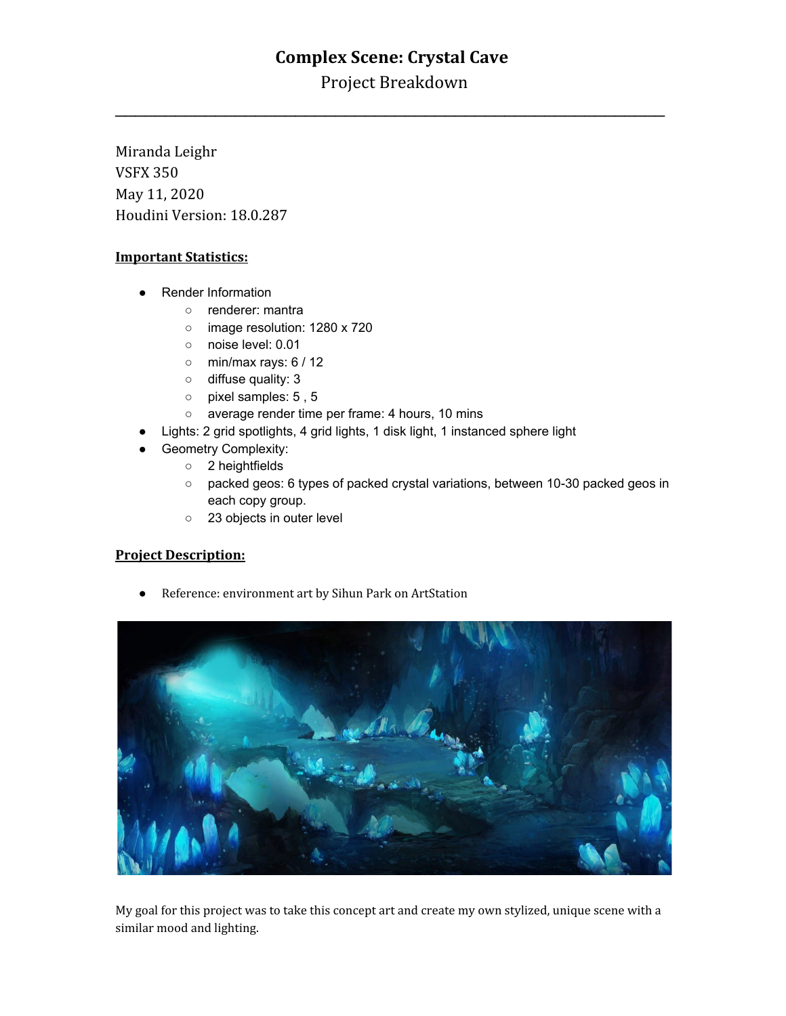# **Complex Scene: Crystal Cave**

Project Breakdown

\_\_\_\_\_\_\_\_\_\_\_\_\_\_\_\_\_\_\_\_\_\_\_\_\_\_\_\_\_\_\_\_\_\_\_\_\_\_\_\_\_\_\_\_\_\_\_\_\_\_\_\_\_\_\_

Miranda Leighr VSFX 350 May 11, 2020 Houdini Version: 18.0.287

#### **Important Statistics:**

- Render Information
	- renderer: mantra
	- o image resolution: 1280 x 720
	- noise level: 0.01
	- $\circ$  min/max rays: 6 / 12
	- diffuse quality: 3
	- pixel samples: 5 , 5
	- o average render time per frame: 4 hours, 10 mins
- Lights: 2 grid spotlights, 4 grid lights, 1 disk light, 1 instanced sphere light
- **Geometry Complexity:** 
	- 2 heightfields
	- packed geos: 6 types of packed crystal variations, between 10-30 packed geos in each copy group.
	- 23 objects in outer level

#### **Project Description:**

● Reference: environment art by Sihun Park on ArtStation



My goal for this project was to take this concept art and create my own stylized, unique scene with a similar mood and lighting.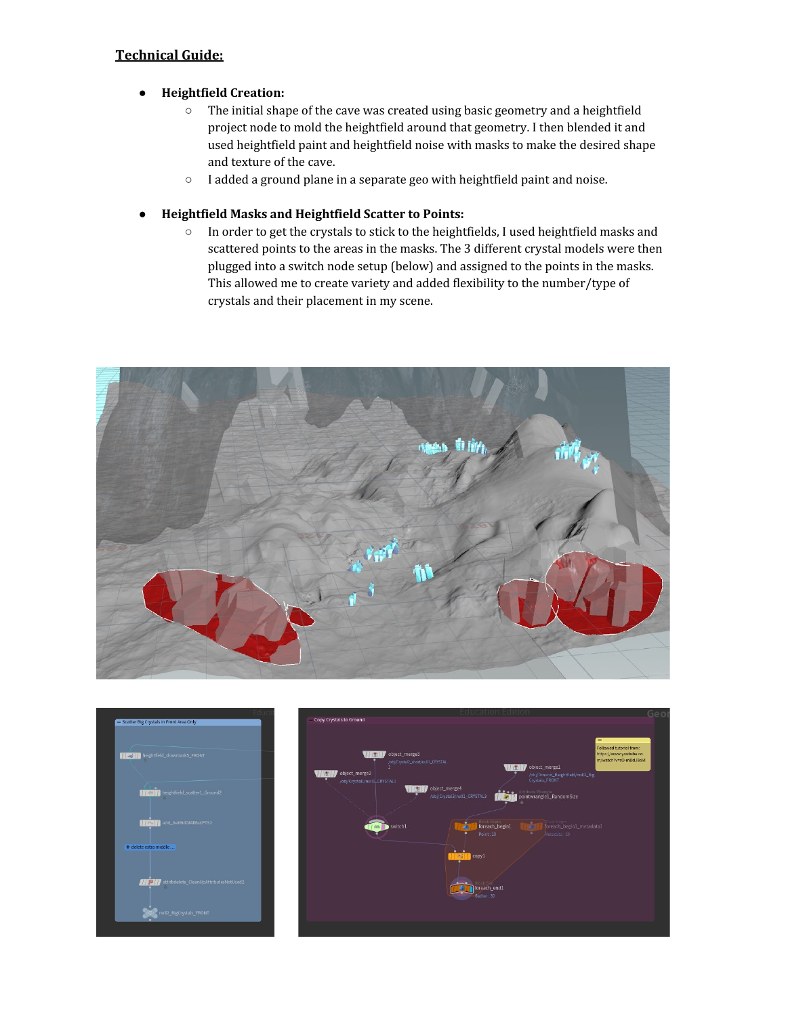## **Technical Guide:**

#### **● Heightfield Creation:**

- The initial shape of the cave was created using basic geometry and a heightfield project node to mold the heightfield around that geometry. I then blended it and used heightfield paint and heightfield noise with masks to make the desired shape and texture of the cave.
- I added a ground plane in a separate geo with heightfield paint and noise.
- **Heightfield Masks and Heightfield Scatter to Points:**
	- In order to get the crystals to stick to the heightfields, I used heightfield masks and scattered points to the areas in the masks. The 3 different crystal models were then plugged into a switch node setup (below) and assigned to the points in the masks. This allowed me to create variety and added flexibility to the number/type of crystals and their placement in my scene.